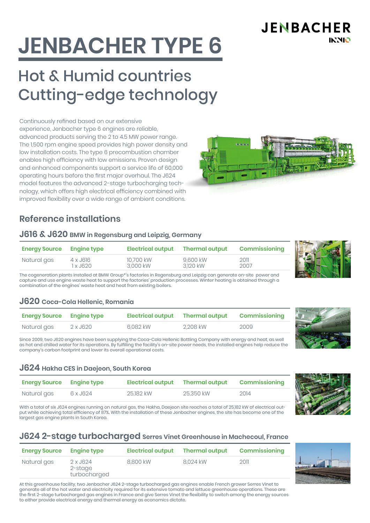**JENBACHER INNIO** 

# **JENBACHER TYPE 6**

# Hot & Humid countries Cutting-edge technology

Continuously refined based on our extensive experience, Jenbacher type 6 engines are reliable, advanced products serving the 2 to 4.5 MW power range. The 1,500 rpm engine speed provides high power density and low installation costs. The type 6 precombustion chamber enables high efficiency with low emissions. Proven design and enhanced components support a service life of 60,000 operating hours before the first major overhaul. The J624 model features the advanced 2-stage turbocharging technology, which offers high electrical efficiency combined with improved flexibility over a wide range of ambient conditions.

# **Reference installations**

#### **J616 & J620 BMW in Regensburg and Leipzig, Germany**

| <b>Energy Source</b> | Engine type | <b>Electrical output</b> | Thermal output | Commissioning |
|----------------------|-------------|--------------------------|----------------|---------------|
| Natural gas          | 4 x J616    | 10.700 kW                | 9.600 kW       | 2011          |
|                      | 1 x J620    | 3.000 kW                 | 3.120 kW       | 2007          |

The cogeneration plants installed at BMW Group\*'s factories in Regensburg and Leipzig can generate on-site power and capture and use engine waste heat to support the factories' production processes. Winter heating is obtained through a combination of the engines' waste heat and heat from existing boilers.

#### **J620 Coca-Cola Hellenic, Romania**

| <b>Energy Source Engine type</b> |          | <b>Electrical output</b> | Thermal output | Commissioning |
|----------------------------------|----------|--------------------------|----------------|---------------|
| Natural gas                      | 2 x J620 | 6.082 kW                 | 2.208 kW       | 2009          |

Since 2009, two J620 engines have been supplying the Coca-Cola Hellenic Bottling Company with energy and heat, as well as hot and chilled water for its operations. By fulfilling the facility's on-site power needs, the installed engines help reduce the company's carbon footprint and lower its overall operational costs.

#### **J624 Hakha CES in Daejeon, South Korea**

| <b>Energy Source Engine type</b> |          | <b>Electrical output</b> | Thermal output | Commissioning |
|----------------------------------|----------|--------------------------|----------------|---------------|
| Natural gas                      | 6 x J624 | 25.182 kW                | 25.350 kW      | 2014          |

With a total of six J624 engines running on natural gas, the Hakha, Daejeon site reaches a total of 25,182 kW of electrical output while achieving total efficiency of 87%. With the installation of these Jenbacher engines, the site has become one of the largest gas engine plants in South Korea.

# **J624 2-stage turbocharged Serres Vinet Greenhouse in Machecoul, France**

| <b>Energy Source Engine type</b> |                                     | <b>Electrical output</b> | <b>Thermal output</b> | <b>Commissioning</b> |
|----------------------------------|-------------------------------------|--------------------------|-----------------------|----------------------|
| Natural gas                      | 2 x J624<br>2-stage<br>turbocharged | 8.800 kW                 | 8.024 kW              | 2011                 |

At this greenhouse facility, two Jenbacher J624 2-stage turbocharged gas engines enable French grower Serres Vinet to generate all of the hot water and electricity required for its extensive tomato and lettuce greenhouse operations. These are the first 2-stage turbocharged gas engines in France and give Serres Vinet the flexibility to switch among the energy sources to either provide electrical energy and thermal energy as economics dictate.